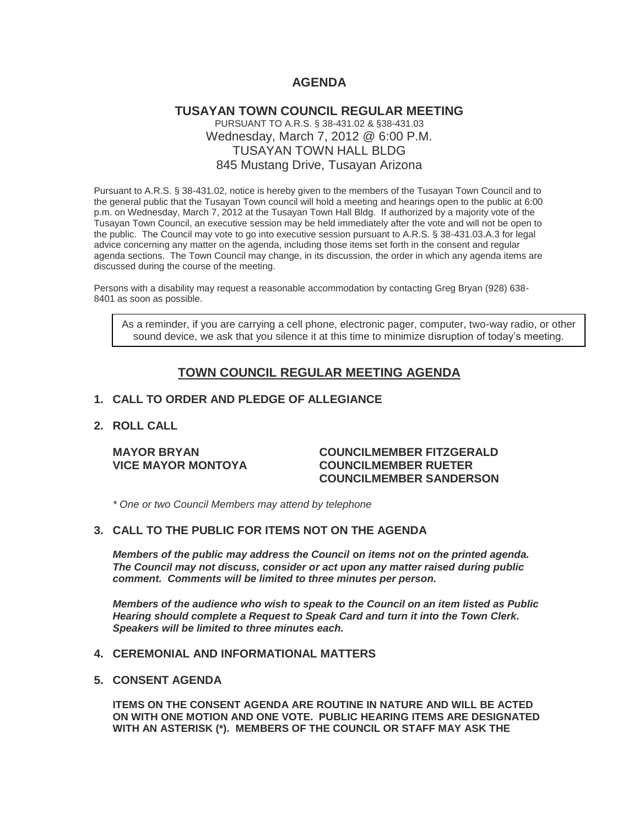# **AGENDA**

## **TUSAYAN TOWN COUNCIL REGULAR MEETING** PURSUANT TO A.R.S. § 38-431.02 & §38-431.03 Wednesday, March 7, 2012 @ 6:00 P.M. TUSAYAN TOWN HALL BLDG 845 Mustang Drive, Tusayan Arizona

Pursuant to A.R.S. § 38-431.02, notice is hereby given to the members of the Tusayan Town Council and to the general public that the Tusayan Town council will hold a meeting and hearings open to the public at 6:00 p.m. on Wednesday, March 7, 2012 at the Tusayan Town Hall Bldg. If authorized by a majority vote of the Tusayan Town Council, an executive session may be held immediately after the vote and will not be open to the public. The Council may vote to go into executive session pursuant to A.R.S. § 38-431.03.A.3 for legal advice concerning any matter on the agenda, including those items set forth in the consent and regular agenda sections. The Town Council may change, in its discussion, the order in which any agenda items are discussed during the course of the meeting.

Persons with a disability may request a reasonable accommodation by contacting Greg Bryan (928) 638- 8401 as soon as possible.

As a reminder, if you are carrying a cell phone, electronic pager, computer, two-way radio, or other sound device, we ask that you silence it at this time to minimize disruption of today's meeting.

# **TOWN COUNCIL REGULAR MEETING AGENDA**

#### **1. CALL TO ORDER AND PLEDGE OF ALLEGIANCE**

#### **2. ROLL CALL**

#### **MAYOR BRYAN COUNCILMEMBER FITZGERALD VICE MAYOR MONTOYA COUNCILMEMBER RUETER COUNCILMEMBER SANDERSON**

*\* One or two Council Members may attend by telephone*

## **3. CALL TO THE PUBLIC FOR ITEMS NOT ON THE AGENDA**

*Members of the public may address the Council* **o***n items not on the printed agenda. The Council may not discuss, consider or act upon any matter raised during public comment. Comments will be limited to three minutes per person.*

*Members of the audience who wish to speak to the Council on an item listed as Public Hearing should complete a Request to Speak Card and turn it into the Town Clerk. Speakers will be limited to three minutes each.*

## **4. CEREMONIAL AND INFORMATIONAL MATTERS**

#### **5. CONSENT AGENDA**

**ITEMS ON THE CONSENT AGENDA ARE ROUTINE IN NATURE AND WILL BE ACTED ON WITH ONE MOTION AND ONE VOTE. PUBLIC HEARING ITEMS ARE DESIGNATED WITH AN ASTERISK (\*). MEMBERS OF THE COUNCIL OR STAFF MAY ASK THE**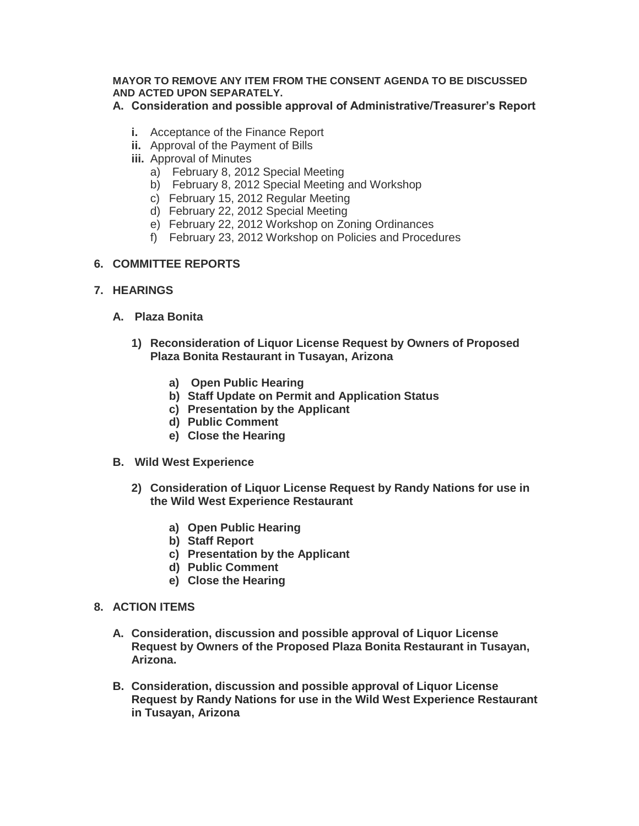## **MAYOR TO REMOVE ANY ITEM FROM THE CONSENT AGENDA TO BE DISCUSSED AND ACTED UPON SEPARATELY.**

# **A. Consideration and possible approval of Administrative/Treasurer's Report**

- **i.** Acceptance of the Finance Report
- **ii.** Approval of the Payment of Bills
- **iii.** Approval of Minutes
	- a) February 8, 2012 Special Meeting
	- b) February 8, 2012 Special Meeting and Workshop
	- c) February 15, 2012 Regular Meeting
	- d) February 22, 2012 Special Meeting
	- e) February 22, 2012 Workshop on Zoning Ordinances
	- f) February 23, 2012 Workshop on Policies and Procedures

# **6. COMMITTEE REPORTS**

- **7. HEARINGS**
	- **A. Plaza Bonita**
		- **1) Reconsideration of Liquor License Request by Owners of Proposed Plaza Bonita Restaurant in Tusayan, Arizona**
			- **a) Open Public Hearing**
			- **b) Staff Update on Permit and Application Status**
			- **c) Presentation by the Applicant**
			- **d) Public Comment**
			- **e) Close the Hearing**
	- **B. Wild West Experience**
		- **2) Consideration of Liquor License Request by Randy Nations for use in the Wild West Experience Restaurant**
			- **a) Open Public Hearing**
			- **b) Staff Report**
			- **c) Presentation by the Applicant**
			- **d) Public Comment**
			- **e) Close the Hearing**
- **8. ACTION ITEMS** 
	- **A. Consideration, discussion and possible approval of Liquor License Request by Owners of the Proposed Plaza Bonita Restaurant in Tusayan, Arizona.**
	- **B. Consideration, discussion and possible approval of Liquor License Request by Randy Nations for use in the Wild West Experience Restaurant in Tusayan, Arizona**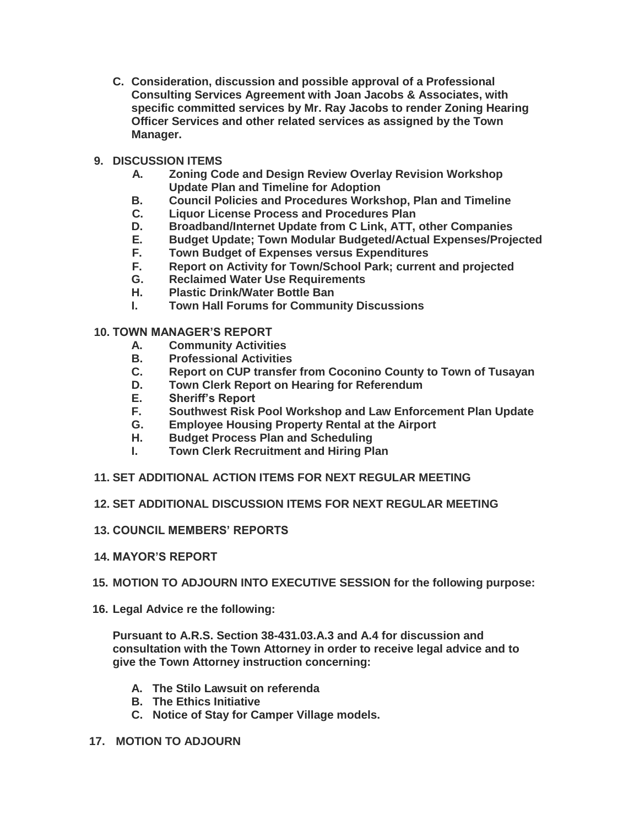**C. Consideration, discussion and possible approval of a Professional Consulting Services Agreement with Joan Jacobs & Associates, with specific committed services by Mr. Ray Jacobs to render Zoning Hearing Officer Services and other related services as assigned by the Town Manager.**

# **9. DISCUSSION ITEMS**

- **A. Zoning Code and Design Review Overlay Revision Workshop Update Plan and Timeline for Adoption**
- **B. Council Policies and Procedures Workshop, Plan and Timeline**
- **C. Liquor License Process and Procedures Plan**
- **D. Broadband/Internet Update from C Link, ATT, other Companies**
- **E. Budget Update; Town Modular Budgeted/Actual Expenses/Projected**
- **F. Town Budget of Expenses versus Expenditures**
- **F. Report on Activity for Town/School Park; current and projected**
- **G. Reclaimed Water Use Requirements**
- **H. Plastic Drink/Water Bottle Ban**
- **I. Town Hall Forums for Community Discussions**

## **10. TOWN MANAGER'S REPORT**

- **A. Community Activities**
- **B. Professional Activities**
- **C. Report on CUP transfer from Coconino County to Town of Tusayan**
- **D. Town Clerk Report on Hearing for Referendum**
- **E. Sheriff's Report**
- **F. Southwest Risk Pool Workshop and Law Enforcement Plan Update**
- **G. Employee Housing Property Rental at the Airport**
- **H. Budget Process Plan and Scheduling**
- **I. Town Clerk Recruitment and Hiring Plan**
- **11. SET ADDITIONAL ACTION ITEMS FOR NEXT REGULAR MEETING**
- **12. SET ADDITIONAL DISCUSSION ITEMS FOR NEXT REGULAR MEETING**
- **13. COUNCIL MEMBERS' REPORTS**
- **14. MAYOR'S REPORT**
- **15. MOTION TO ADJOURN INTO EXECUTIVE SESSION for the following purpose:**
- **16. Legal Advice re the following:**

**Pursuant to A.R.S. Section 38-431.03.A.3 and A.4 for discussion and consultation with the Town Attorney in order to receive legal advice and to give the Town Attorney instruction concerning:** 

- **A. The Stilo Lawsuit on referenda**
- **B. The Ethics Initiative**
- **C. Notice of Stay for Camper Village models.**
- **17. MOTION TO ADJOURN**